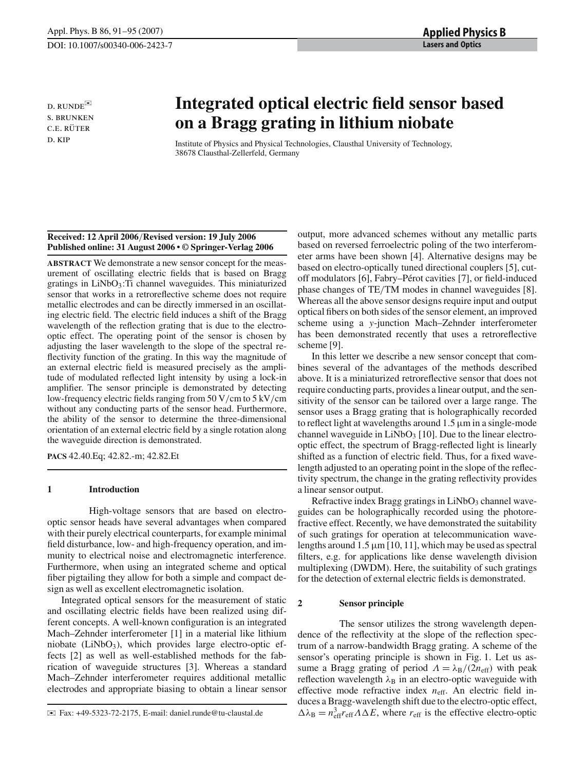d. runde✉ s. brunken C.E. RÜTER d. kip

# **Integrated optical electric field sensor based on a Bragg grating in lithium niobate**

Institute of Physics and Physical Technologies, Clausthal University of Technology, 38678 Clausthal-Zellerfeld, Germany

### **Received: 12 April 2006**/**Revised version: 19 July 2006 Published online: 31 August 2006 • © Springer-Verlag 2006**

**ABSTRACT** We demonstrate a new sensor concept for the measurement of oscillating electric fields that is based on Bragg gratings in  $LiNbO<sub>3</sub>$ : Ti channel waveguides. This miniaturized sensor that works in a retroreflective scheme does not require metallic electrodes and can be directly immersed in an oscillating electric field. The electric field induces a shift of the Bragg wavelength of the reflection grating that is due to the electrooptic effect. The operating point of the sensor is chosen by adjusting the laser wavelength to the slope of the spectral reflectivity function of the grating. In this way the magnitude of an external electric field is measured precisely as the amplitude of modulated reflected light intensity by using a lock-in amplifier. The sensor principle is demonstrated by detecting low-frequency electric fields ranging from 50 V/cm to 5 kV/cm without any conducting parts of the sensor head. Furthermore, the ability of the sensor to determine the three-dimensional orientation of an external electric field by a single rotation along the waveguide direction is demonstrated.

**PACS** 42.40.Eq; 42.82.-m; 42.82.Et

## **1 Introduction**

High-voltage sensors that are based on electrooptic sensor heads have several advantages when compared with their purely electrical counterparts, for example minimal field disturbance, low- and high-frequency operation, and immunity to electrical noise and electromagnetic interference. Furthermore, when using an integrated scheme and optical fiber pigtailing they allow for both a simple and compact design as well as excellent electromagnetic isolation.

Integrated optical sensors for the measurement of static and oscillating electric fields have been realized using different concepts. A well-known configuration is an integrated Mach–Zehnder interferometer [1] in a material like lithium niobate ( $LiNbO<sub>3</sub>$ ), which provides large electro-optic effects [2] as well as well-established methods for the fabrication of waveguide structures [3]. Whereas a standard Mach–Zehnder interferometer requires additional metallic electrodes and appropriate biasing to obtain a linear sensor

output, more advanced schemes without any metallic parts based on reversed ferroelectric poling of the two interferometer arms have been shown [4]. Alternative designs may be based on electro-optically tuned directional couplers [5], cutoff modulators [6], Fabry–Pérot cavities [7], or field-induced phase changes of TE/TM modes in channel waveguides [8]. Whereas all the above sensor designs require input and output optical fibers on both sides of the sensor element, an improved scheme using a *y*-junction Mach–Zehnder interferometer has been demonstrated recently that uses a retroreflective scheme [9].

In this letter we describe a new sensor concept that combines several of the advantages of the methods described above. It is a miniaturized retroreflective sensor that does not require conducting parts, provides a linear output, and the sensitivity of the sensor can be tailored over a large range. The sensor uses a Bragg grating that is holographically recorded to reflect light at wavelengths around 1.5 µm in a single-mode channel waveguide in  $LiNbO<sub>3</sub>$  [10]. Due to the linear electrooptic effect, the spectrum of Bragg-reflected light is linearly shifted as a function of electric field. Thus, for a fixed wavelength adjusted to an operating point in the slope of the reflectivity spectrum, the change in the grating reflectivity provides a linear sensor output.

Refractive index Bragg gratings in  $LiNbO<sub>3</sub>$  channel waveguides can be holographically recorded using the photorefractive effect. Recently, we have demonstrated the suitability of such gratings for operation at telecommunication wavelengths around  $1.5 \mu m$  [10, 11], which may be used as spectral filters, e.g. for applications like dense wavelength division multiplexing (DWDM). Here, the suitability of such gratings for the detection of external electric fields is demonstrated.

## **2 Sensor principle**

The sensor utilizes the strong wavelength dependence of the reflectivity at the slope of the reflection spectrum of a narrow-bandwidth Bragg grating. A scheme of the sensor's operating principle is shown in Fig. 1. Let us assume a Bragg grating of period  $\Lambda = \lambda_B/(2n_{\text{eff}})$  with peak reflection wavelength  $\lambda_B$  in an electro-optic waveguide with effective mode refractive index  $n_{\text{eff}}$ . An electric field induces a Bragg-wavelength shift due to the electro-optic effect,  $\Delta \lambda_B = n_{\text{eff}}^3 r_{\text{eff}} \Lambda \Delta E$ , where  $r_{\text{eff}}$  is the effective electro-optic

<sup>✉</sup> Fax: +49-5323-72-2175, E-mail: daniel.runde@tu-claustal.de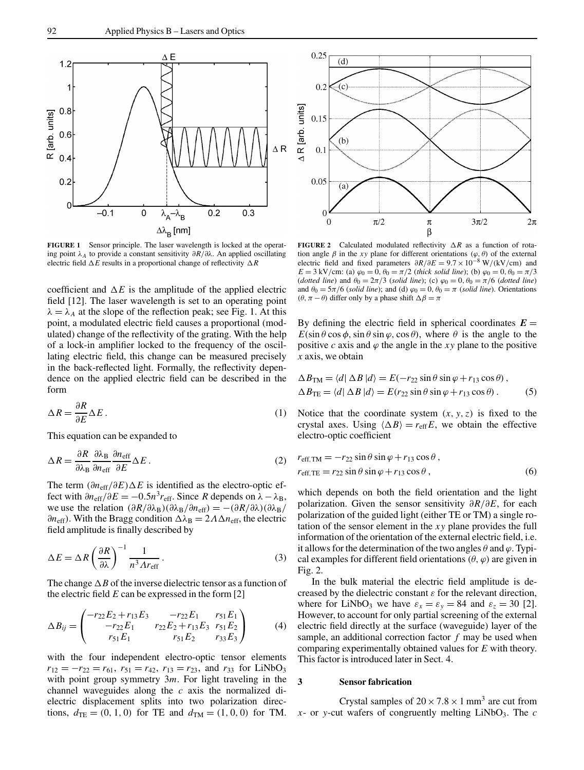

**FIGURE 1** Sensor principle. The laser wavelength is locked at the operating point  $\lambda_A$  to provide a constant sensitivity  $\partial R/\partial \lambda$ . An applied oscillating electric field ∆*E* results in a proportional change of reflectivity ∆*R*

coefficient and  $\Delta E$  is the amplitude of the applied electric field [12]. The laser wavelength is set to an operating point  $\lambda = \lambda_A$  at the slope of the reflection peak; see Fig. 1. At this point, a modulated electric field causes a proportional (modulated) change of the reflectivity of the grating. With the help of a lock-in amplifier locked to the frequency of the oscillating electric field, this change can be measured precisely in the back-reflected light. Formally, the reflectivity dependence on the applied electric field can be described in the form

$$
\Delta R = \frac{\partial R}{\partial E} \Delta E \,. \tag{1}
$$

This equation can be expanded to

$$
\Delta R = \frac{\partial R}{\partial \lambda_{\rm B}} \frac{\partial \lambda_{\rm B}}{\partial n_{\rm eff}} \frac{\partial n_{\rm eff}}{\partial E} \Delta E \,. \tag{2}
$$

The term  $(\partial n_{\text{eff}}/\partial E)\Delta E$  is identified as the electro-optic effect with  $\partial n_{\text{eff}}/\partial E = -0.5n^3 r_{\text{eff}}$ . Since *R* depends on  $\lambda - \lambda_B$ , we use the relation  $(\partial R/\partial \lambda_B)(\partial \lambda_B/\partial n_{eff}) = -(\partial R/\partial \lambda)(\partial \lambda_B/\partial n_{eff})$  $∂n_{eff}$ ). With the Bragg condition  $Δλ_B = 2ΛΔn_{eff}$ , the electric field amplitude is finally described by

$$
\Delta E = \Delta R \left(\frac{\partial R}{\partial \lambda}\right)^{-1} \frac{1}{n^3 \Lambda r_{\text{eff}}} \,. \tag{3}
$$

The change ∆*B* of the inverse dielectric tensor as a function of the electric field *E* can be expressed in the form [2]

$$
\Delta B_{ij} = \begin{pmatrix} -r_{22}E_2 + r_{13}E_3 & -r_{22}E_1 & r_{51}E_1 \\ -r_{22}E_1 & r_{22}E_2 + r_{13}E_3 & r_{51}E_2 \\ r_{51}E_1 & r_{51}E_2 & r_{33}E_3 \end{pmatrix}
$$
(4)

with the four independent electro-optic tensor elements  $r_{12} = -r_{22} = r_{61}$ ,  $r_{51} = r_{42}$ ,  $r_{13} = r_{23}$ , and  $r_{33}$  for LiNbO<sub>3</sub> with point group symmetry 3*m*. For light traveling in the channel waveguides along the *c* axis the normalized dielectric displacement splits into two polarization directions,  $d_{\text{TE}} = (0, 1, 0)$  for TE and  $d_{\text{TM}} = (1, 0, 0)$  for TM.



**FIGURE 2** Calculated modulated reflectivity ∆*R* as a function of rotation angle  $\beta$  in the *xy* plane for different orientations ( $\varphi$ ,  $\theta$ ) of the external electric field and fixed parameters ∂*R*/∂*E* = 9.7×10−<sup>8</sup> W/(kV/cm) and *E* = 3 kV/cm: (a)  $\varphi_0 = 0$ ,  $\theta_0 = \pi/2$  (*thick solid line*); (b)  $\varphi_0 = 0$ ,  $\theta_0 = \pi/3$ (*dotted line*) and  $\theta_0 = 2\pi/3$  (*solid line*); (c)  $\varphi_0 = 0$ ,  $\theta_0 = \pi/6$  (*dotted line*) and  $\theta_0 = 5\pi/6$  (*solid line*); and (d)  $\varphi_0 = 0$ ,  $\theta_0 = \pi$  (*solid line*). Orientations (θ, π − θ) differ only by a phase shift  $\Delta \beta = \pi$ 

By defining the electric field in spherical coordinates  $E =$  $E(\sin \theta \cos \phi, \sin \theta \sin \phi, \cos \theta)$ , where  $\theta$  is the angle to the positive *c* axis and  $\varphi$  the angle in the *xy* plane to the positive *x* axis, we obtain

$$
\Delta B_{\text{TM}} = \langle d | \Delta B | d \rangle = E(-r_{22} \sin \theta \sin \varphi + r_{13} \cos \theta),
$$
  

$$
\Delta B_{\text{TE}} = \langle d | \Delta B | d \rangle = E(r_{22} \sin \theta \sin \varphi + r_{13} \cos \theta).
$$
 (5)

Notice that the coordinate system  $(x, y, z)$  is fixed to the crystal axes. Using  $\langle \Delta B \rangle = r_{\text{eff}} E$ , we obtain the effective electro-optic coefficient

$$
r_{\text{eff,TM}} = -r_{22} \sin \theta \sin \varphi + r_{13} \cos \theta ,
$$
  
\n
$$
r_{\text{eff,TE}} = r_{22} \sin \theta \sin \varphi + r_{13} \cos \theta ,
$$
 (6)

which depends on both the field orientation and the light polarization. Given the sensor sensitivity ∂*R*/∂*E*, for each polarization of the guided light (either TE or TM) a single rotation of the sensor element in the *xy* plane provides the full information of the orientation of the external electric field, i.e. it allows for the determination of the two angles  $\theta$  and  $\varphi$ . Typical examples for different field orientations  $(\theta, \varphi)$  are given in Fig. 2.

In the bulk material the electric field amplitude is decreased by the dielectric constant  $\varepsilon$  for the relevant direction, where for LiNbO<sub>3</sub> we have  $\varepsilon_x = \varepsilon_y = 84$  and  $\varepsilon_z = 30$  [2]. However, to account for only partial screening of the external electric field directly at the surface (waveguide) layer of the sample, an additional correction factor *f* may be used when comparing experimentally obtained values for *E* with theory. This factor is introduced later in Sect. 4.

## **3 Sensor fabrication**

Crystal samples of  $20 \times 7.8 \times 1$  mm<sup>3</sup> are cut from  $x$ - or *y*-cut wafers of congruently melting LiNbO<sub>3</sub>. The *c*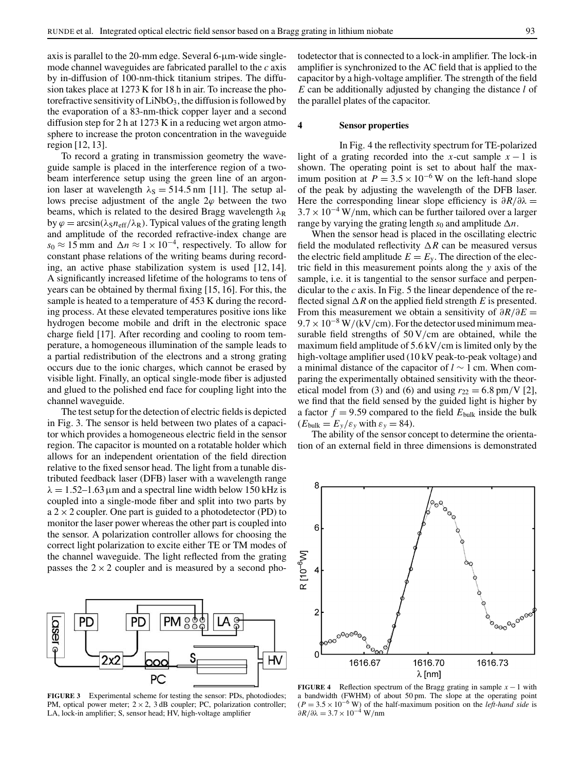axis is parallel to the 20-mm edge. Several 6-µm-wide singlemode channel waveguides are fabricated parallel to the *c* axis by in-diffusion of 100-nm-thick titanium stripes. The diffusion takes place at 1273 K for 18 h in air. To increase the photorefractive sensitivity of  $LiNbO<sub>3</sub>$ , the diffusion is followed by the evaporation of a 83-nm-thick copper layer and a second diffusion step for 2 h at 1273 K in a reducing wet argon atmosphere to increase the proton concentration in the waveguide region [12, 13].

To record a grating in transmission geometry the waveguide sample is placed in the interference region of a twobeam interference setup using the green line of an argonion laser at wavelength  $\lambda_s = 514.5$  nm [11]. The setup allows precise adjustment of the angle  $2\varphi$  between the two beams, which is related to the desired Bragg wavelength  $\lambda_R$ by  $\varphi = \arcsin(\lambda_S n_{\text{eff}}/\lambda_R)$ . Typical values of the grating length and amplitude of the recorded refractive-index change are  $s_0 \approx 15$  mm and  $\Delta n \approx 1 \times 10^{-4}$ , respectively. To allow for constant phase relations of the writing beams during recording, an active phase stabilization system is used [12, 14]. A significantly increased lifetime of the holograms to tens of years can be obtained by thermal fixing [15, 16]. For this, the sample is heated to a temperature of 453 K during the recording process. At these elevated temperatures positive ions like hydrogen become mobile and drift in the electronic space charge field [17]. After recording and cooling to room temperature, a homogeneous illumination of the sample leads to a partial redistribution of the electrons and a strong grating occurs due to the ionic charges, which cannot be erased by visible light. Finally, an optical single-mode fiber is adjusted and glued to the polished end face for coupling light into the channel waveguide.

The test setup for the detection of electric fields is depicted in Fig. 3. The sensor is held between two plates of a capacitor which provides a homogeneous electric field in the sensor region. The capacitor is mounted on a rotatable holder which allows for an independent orientation of the field direction relative to the fixed sensor head. The light from a tunable distributed feedback laser (DFB) laser with a wavelength range  $\lambda = 1.52-1.63 \,\mathrm{\mu m}$  and a spectral line width below 150 kHz is coupled into a single-mode fiber and split into two parts by  $a$  2  $\times$  2 coupler. One part is guided to a photodetector (PD) to monitor the laser power whereas the other part is coupled into the sensor. A polarization controller allows for choosing the correct light polarization to excite either TE or TM modes of the channel waveguide. The light reflected from the grating passes the  $2 \times 2$  coupler and is measured by a second pho-



**FIGURE 3** Experimental scheme for testing the sensor: PDs, photodiodes; PM, optical power meter;  $2 \times 2$ , 3 dB coupler; PC, polarization controller; LA, lock-in amplifier; S, sensor head; HV, high-voltage amplifier

todetector that is connected to a lock-in amplifier. The lock-in amplifier is synchronized to the AC field that is applied to the capacitor by a high-voltage amplifier. The strength of the field *E* can be additionally adjusted by changing the distance *l* of the parallel plates of the capacitor.

#### **4 Sensor properties**

In Fig. 4 the reflectivity spectrum for TE-polarized light of a grating recorded into the *x*-cut sample  $x - 1$  is shown. The operating point is set to about half the maximum position at  $P = 3.5 \times 10^{-6}$  W on the left-hand slope of the peak by adjusting the wavelength of the DFB laser. Here the corresponding linear slope efficiency is  $\partial R/\partial \lambda$  =  $3.7 \times 10^{-4}$  W/nm, which can be further tailored over a larger range by varying the grating length  $s_0$  and amplitude  $\Delta n$ .

When the sensor head is placed in the oscillating electric field the modulated reflectivity ∆*R* can be measured versus the electric field amplitude  $E = E_y$ . The direction of the electric field in this measurement points along the *y* axis of the sample, i.e. it is tangential to the sensor surface and perpendicular to the *c* axis. In Fig. 5 the linear dependence of the reflected signal ∆*R* on the applied field strength *E* is presented. From this measurement we obtain a sensitivity of ∂*R*/∂*E* =  $9.7 \times 10^{-8}$  W/(kV/cm). For the detector used minimum measurable field strengths of 50 V/cm are obtained, while the maximum field amplitude of 5.6 kV/cm is limited only by the high-voltage amplifier used (10 kV peak-to-peak voltage) and a minimal distance of the capacitor of *l* ∼ 1 cm. When comparing the experimentally obtained sensitivity with the theoretical model from (3) and (6) and using  $r_{22} = 6.8$  pm/V [2], we find that the field sensed by the guided light is higher by a factor  $f = 9.59$  compared to the field  $E_{\text{bulk}}$  inside the bulk  $(E_{\text{bulk}} = E_{y}/\varepsilon_{y}$  with  $\varepsilon_{y} = 84$ ).

The ability of the sensor concept to determine the orientation of an external field in three dimensions is demonstrated



**FIGURE 4** Reflection spectrum of the Bragg grating in sample  $x - 1$  with a bandwidth (FWHM) of about 50 pm. The slope at the operating point  $(P = 3.5 \times 10^{-6}$  W) of the half-maximum position on the *left-hand side* is  $\partial R/\partial \lambda = 3.7 \times 10^{-4}$  W/nm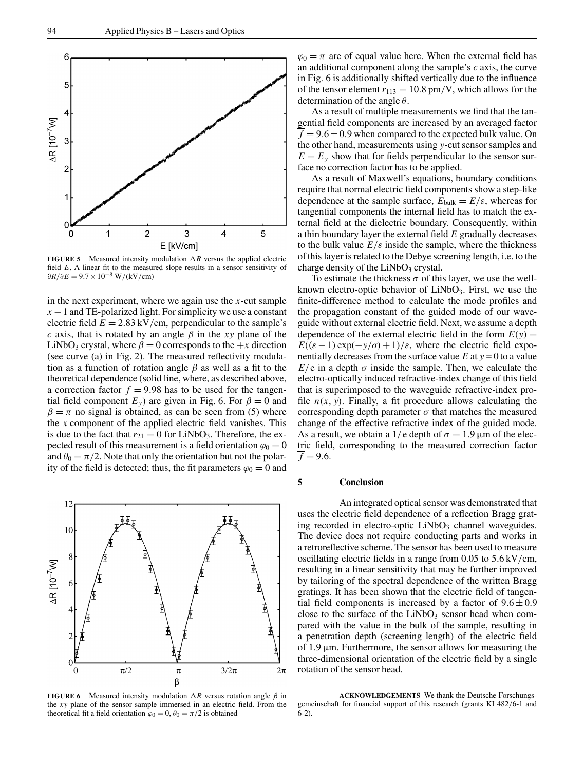

**FIGURE 5** Measured intensity modulation ∆*R* versus the applied electric field *E*. A linear fit to the measured slope results in a sensor sensitivity of  $\partial R/\partial E = 9.7 \times 10^{-8}$  W/(kV/cm)

in the next experiment, where we again use the *x*-cut sample  $x - 1$  and TE-polarized light. For simplicity we use a constant electric field  $E = 2.83 \text{ kV/cm}$ , perpendicular to the sample's *c* axis, that is rotated by an angle  $\beta$  in the *xy* plane of the LiNbO<sub>3</sub> crystal, where  $\beta = 0$  corresponds to the  $+x$  direction (see curve (a) in Fig. 2). The measured reflectivity modulation as a function of rotation angle  $\beta$  as well as a fit to the theoretical dependence (solid line, where, as described above, a correction factor  $f = 9.98$  has to be used for the tangential field component  $E_y$ ) are given in Fig. 6. For  $\beta = 0$  and  $\beta = \pi$  no signal is obtained, as can be seen from (5) where the *x* component of the applied electric field vanishes. This is due to the fact that  $r_{21} = 0$  for LiNbO<sub>3</sub>. Therefore, the expected result of this measurement is a field orientation  $\varphi_0 = 0$ and  $\theta_0 = \pi/2$ . Note that only the orientation but not the polarity of the field is detected; thus, the fit parameters  $\varphi_0 = 0$  and



**FIGURE 6** Measured intensity modulation  $\Delta R$  versus rotation angle  $\beta$  in the *xy* plane of the sensor sample immersed in an electric field. From the theoretical fit a field orientation  $\varphi_0 = 0$ ,  $\theta_0 = \pi/2$  is obtained

 $\varphi_0 = \pi$  are of equal value here. When the external field has an additional component along the sample's *c* axis, the curve in Fig. 6 is additionally shifted vertically due to the influence of the tensor element  $r_{113} = 10.8$  pm/V, which allows for the determination of the angle  $\theta$ .

As a result of multiple measurements we find that the tangential field components are increased by an averaged factor  $\overline{f}$  = 9.6  $\pm$  0.9 when compared to the expected bulk value. On the other hand, measurements using *y*-cut sensor samples and  $E = E<sub>v</sub>$  show that for fields perpendicular to the sensor surface no correction factor has to be applied.

As a result of Maxwell's equations, boundary conditions require that normal electric field components show a step-like dependence at the sample surface,  $E_{\text{bulk}} = E/\varepsilon$ , whereas for tangential components the internal field has to match the external field at the dielectric boundary. Consequently, within a thin boundary layer the external field *E* gradually decreases to the bulk value  $E/\varepsilon$  inside the sample, where the thickness of this layer is related to the Debye screening length, i.e. to the charge density of the  $LiNbO<sub>3</sub>$  crystal.

To estimate the thickness  $\sigma$  of this layer, we use the wellknown electro-optic behavior of  $LiNbO<sub>3</sub>$ . First, we use the finite-difference method to calculate the mode profiles and the propagation constant of the guided mode of our waveguide without external electric field. Next, we assume a depth dependence of the external electric field in the form  $E(y) =$  $E((\varepsilon - 1) \exp(-y/\sigma) + 1)/\varepsilon$ , where the electric field exponentially decreases from the surface value  $E$  at  $y = 0$  to a value  $E/e$  in a depth  $\sigma$  inside the sample. Then, we calculate the electro-optically induced refractive-index change of this field that is superimposed to the waveguide refractive-index profile  $n(x, y)$ . Finally, a fit procedure allows calculating the corresponding depth parameter  $\sigma$  that matches the measured change of the effective refractive index of the guided mode. As a result, we obtain a 1/e depth of  $\sigma = 1.9 \,\mu\text{m}$  of the electric field, corresponding to the measured correction factor  $\overline{f}$  = 9.6.

# **5 Conclusion**

An integrated optical sensor was demonstrated that uses the electric field dependence of a reflection Bragg grating recorded in electro-optic  $LiNbO<sub>3</sub>$  channel waveguides. The device does not require conducting parts and works in a retroreflective scheme. The sensor has been used to measure oscillating electric fields in a range from 0.05 to 5.6 kV/cm, resulting in a linear sensitivity that may be further improved by tailoring of the spectral dependence of the written Bragg gratings. It has been shown that the electric field of tangential field components is increased by a factor of  $9.6 \pm 0.9$ close to the surface of the  $LiNbO<sub>3</sub>$  sensor head when compared with the value in the bulk of the sample, resulting in a penetration depth (screening length) of the electric field of  $1.9 \mu m$ . Furthermore, the sensor allows for measuring the three-dimensional orientation of the electric field by a single rotation of the sensor head.

**ACKNOWLEDGEMENTS** We thank the Deutsche Forschungsgemeinschaft for financial support of this research (grants KI 482/6-1 and  $6-2$ ).